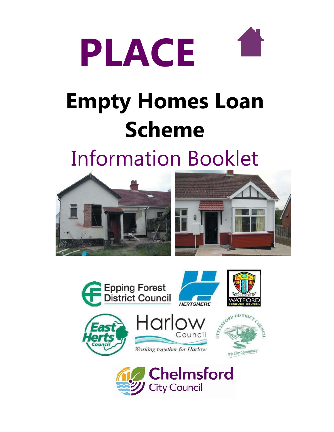

# **Empty Homes Loan Scheme**

Information Booklet











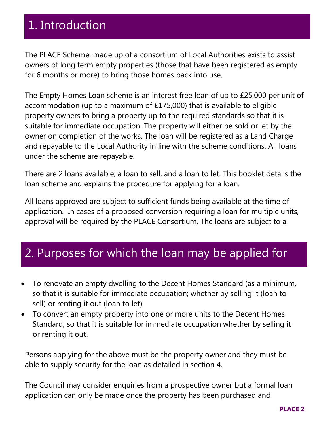# 1. Introduction

many owners as possible.

The PLACE Scheme, made up of a consortium of Local Authorities exists to assist owners of long term empty properties (those that have been registered as empty for 6 months or more) to bring those homes back into use.

The Empty Homes Loan scheme is an interest free loan of up to £25,000 per unit of accommodation (up to a maximum of £175,000) that is available to eligible property owners to bring a property up to the required standards so that it is suitable for immediate occupation. The property will either be sold or let by the owner on completion of the works. The loan will be registered as a Land Charge and repayable to the Local Authority in line with the scheme conditions. All loans under the scheme are repayable.

There are 2 loans available; a loan to sell, and a loan to let. This booklet details the loan scheme and explains the procedure for applying for a loan.

All loans approved are subject to sufficient funds being available at the time of application. In cases of a proposed conversion requiring a loan for multiple units, approval will be required by the PLACE Consortium. The loans are subject to a

### Enquiries for a loan can be made either by phone, e-mail, post or in person at the 2. Purposes for which the loan may be applied for

- To renovate an empty dwelling to the Decent Homes Standard (as a minimum, so that it is suitable for immediate occupation; whether by selling it (loan to sell) or renting it out (loan to let)
- To convert an empty property into one or more units to the Decent Homes Standard, so that it is suitable for immediate occupation whether by selling it or renting it out.

Persons applying for the above must be the property owner and they must be able to supply security for the loan as detailed in section 4.

The Council may consider enquiries from a prospective owner but a formal loan application can only be made once the property has been purchased and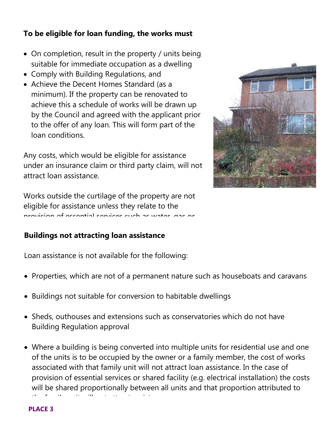### **To be eligible for loan funding, the works must**

- On completion, result in the property / units being suitable for immediate occupation as a dwelling
- Comply with Building Regulations, and
- Achieve the Decent Homes Standard (as a minimum). If the property can be renovated to achieve this a schedule of works will be drawn up by the Council and agreed with the applicant prior to the offer of any loan. This will form part of the loan conditions.

Any costs, which would be eligible for assistance under an insurance claim or third party claim, will not attract loan assistance.

Works outside the curtilage of the property are not eligible for assistance unless they relate to the provision of essential services such as water, gas or

### Buildings not attracting loan assistance

Loan assistance is not available for the following:

- Properties, which are not of a permanent nature such as houseboats and caravans
- Buildings not suitable for conversion to habitable dwellings
- Sheds, outhouses and extensions such as conservatories which do not have Building Regulation approval
- Where a building is being converted into multiple units for residential use and one of the units is to be occupied by the owner or a family member, the cost of works associated with that family unit will not attract loan assistance. In the case of provision of essential services or shared facility (e.g. electrical installation) the costs will be shared proportionally between all units and that proportion attributed to the family unit will not attract assistance.



#### **PLACE 3**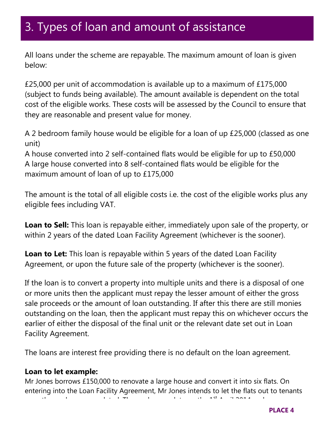### 3. Types of loan and amount of assistance

All loans under the scheme are repayable. The maximum amount of loan is given below:

£25,000 per unit of accommodation is available up to a maximum of £175,000 (subject to funds being available). The amount available is dependent on the total cost of the eligible works. These costs will be assessed by the Council to ensure that they are reasonable and present value for money.

A 2 bedroom family house would be eligible for a loan of up £25,000 (classed as one unit)

A house converted into 2 self-contained flats would be eligible for up to £50,000 A large house converted into 8 self-contained flats would be eligible for the maximum amount of loan of up to £175,000

The amount is the total of all eligible costs i.e. the cost of the eligible works plus any eligible fees including VAT.

**Loan to Sell:** This loan is repayable either, immediately upon sale of the property, or within 2 years of the dated Loan Facility Agreement (whichever is the sooner).

**Loan to Let:** This loan is repayable within 5 years of the dated Loan Facility Agreement, or upon the future sale of the property (whichever is the sooner).

If the loan is to convert a property into multiple units and there is a disposal of one or more units then the applicant must repay the lesser amount of either the gross sale proceeds or the amount of loan outstanding. If after this there are still monies outstanding on the loan, then the applicant must repay this on whichever occurs the earlier of either the disposal of the final unit or the relevant date set out in Loan Facility Agreement.

The loans are interest free providing there is no default on the loan agreement.

### **Loan to let example:**

Mr Jones borrows £150,000 to renovate a large house and convert it into six flats. On entering into the Loan Facility Agreement, Mr Jones intends to let the flats out to tenants once the works are completed. The works complete on the 1st April 2014 and soon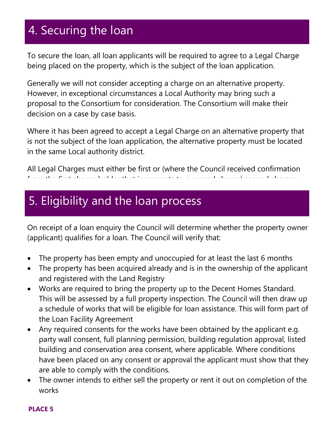## 4. Securing the loan

To secure the loan, all loan applicants will be required to agree to a Legal Charge being placed on the property, which is the subject of the loan application.

Generally we will not consider accepting a charge on an alternative property. However, in exceptional circumstances a Local Authority may bring such a proposal to the Consortium for consideration. The Consortium will make their decision on a case by case basis.

Where it has been agreed to accept a Legal Charge on an alternative property that is not the subject of the loan application, the alternative property must be located in the same Local authority district.

All Legal Charges must either be first or (where the Council received confirmation from the first charge holder that is consents to a second charge) second charges.

### 5. Eligibility and the loan process

Third or subsequent charges will not be accepted.

On receipt of a loan enquiry the Council will determine whether the property owner (applicant) qualifies for a loan. The Council will verify that:

- The property has been empty and unoccupied for at least the last 6 months
- The property has been acquired already and is in the ownership of the applicant and registered with the Land Registry
- Works are required to bring the property up to the Decent Homes Standard. This will be assessed by a full property inspection. The Council will then draw up a schedule of works that will be eligible for loan assistance. This will form part of the Loan Facility Agreement
- Any required consents for the works have been obtained by the applicant e.g. party wall consent, full planning permission, building regulation approval, listed building and conservation area consent, where applicable. Where conditions have been placed on any consent or approval the applicant must show that they are able to comply with the conditions.
- The owner intends to either sell the property or rent it out on completion of the works

#### **PLACE 5**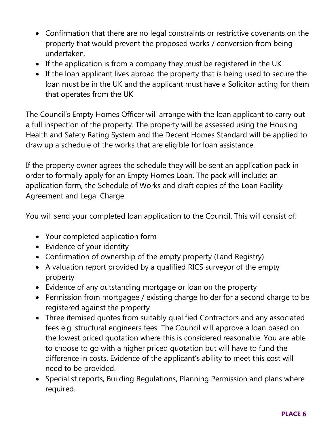- Confirmation that there are no legal constraints or restrictive covenants on the property that would prevent the proposed works / conversion from being undertaken.
- If the application is from a company they must be registered in the UK
- If the loan applicant lives abroad the property that is being used to secure the loan must be in the UK and the applicant must have a Solicitor acting for them that operates from the UK

The Council's Empty Homes Officer will arrange with the loan applicant to carry out a full inspection of the property. The property will be assessed using the Housing Health and Safety Rating System and the Decent Homes Standard will be applied to draw up a schedule of the works that are eligible for loan assistance.

If the property owner agrees the schedule they will be sent an application pack in order to formally apply for an Empty Homes Loan. The pack will include: an application form, the Schedule of Works and draft copies of the Loan Facility Agreement and Legal Charge.

You will send your completed loan application to the Council. This will consist of:

- Your completed application form
- Evidence of your identity
- Confirmation of ownership of the empty property (Land Registry)
- A valuation report provided by a qualified RICS surveyor of the empty property
- Evidence of any outstanding mortgage or loan on the property
- Permission from mortgagee / existing charge holder for a second charge to be registered against the property
- Three itemised quotes from suitably qualified Contractors and any associated fees e.g. structural engineers fees. The Council will approve a loan based on the lowest priced quotation where this is considered reasonable. You are able to choose to go with a higher priced quotation but will have to fund the difference in costs. Evidence of the applicant's ability to meet this cost will need to be provided.
- Specialist reports, Building Regulations, Planning Permission and plans where required.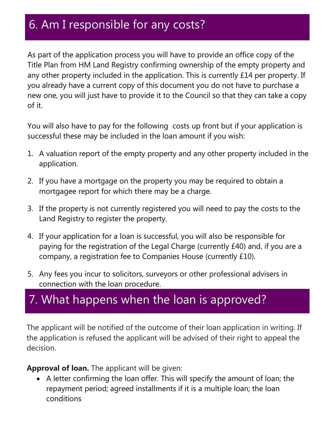### 6. Am I responsible for any costs?

As part of the application process you will have to provide an office copy of the Title Plan from HM Land Registry confirming ownership of the empty property and any other property included in the application. This is currently £14 per property. If you already have a current copy of this document you do not have to purchase a new one, you will just have to provide it to the Council so that they can take a copy of it.

You will also have to pay for the following costs up front but if your application is successful these may be included in the loan amount if you wish:

- 1. A valuation report of the empty property and any other property included in the application.
- 2. If you have a mortgage on the property you may be required to obtain a mortgagee report for which there may be a charge.
- 3. If the property is not currently registered you will need to pay the costs to the Land Registry to register the property.
- 4. If your application for a loan is successful, you will also be responsible for paying for the registration of the Legal Charge (currently £40) and, if you are a company, a registration fee to Companies House (currently £10).
- 5. Any fees you incur to solicitors, surveyors or other professional advisers in connection with the loan procedure.

# 7. What happens when the loan is approved?

The applicant will be notified of the outcome of their loan application in writing. If the application is refused the applicant will be advised of their right to appeal the decision.

 $p$  and default  $p$  and default  $p$  and default  $\tilde{p}$  from the charged interest at a rate of  $6$  from the  $6$ 

**Approval of loan.** The applicant will be given:

 A letter confirming the loan offer. This will specify the amount of loan; the repayment period; agreed installments if it is a multiple loan; the loan conditions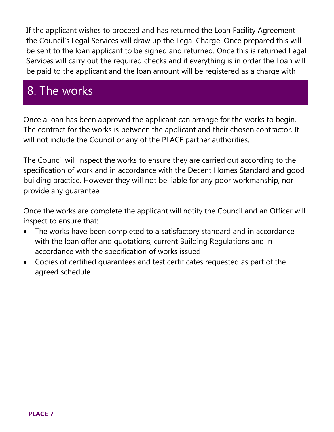If the applicant wishes to proceed and has returned the Loan Facility Agreement the Council's Legal Services will draw up the Legal Charge. Once prepared this will be sent to the loan applicant to be signed and returned. Once this is returned Legal Services will carry out the required checks and if everything is in order the Loan will be paid to the applicant and the loan amount will be registered as a charge with

### 8. The works the Land Registry.

Once a loan has been approved the applicant can arrange for the works to begin. The contract for the works is between the applicant and their chosen contractor. It will not include the Council or any of the PLACE partner authorities.

The Council will inspect the works to ensure they are carried out according to the specification of work and in accordance with the Decent Homes Standard and good building practice. However they will not be liable for any poor workmanship, nor provide any guarantee.

Once the works are complete the applicant will notify the Council and an Officer will inspect to ensure that:

- The works have been completed to a satisfactory standard and in accordance with the loan offer and quotations, current Building Regulations and in accordance with the specification of works issued
- Copies of certified guarantees and test certificates requested as part of the agreed schedule

The repair and repair and repair and repair and repair and repair and repair and the property complies with th<br>The Decent Homes with the Decent Homes with the Decent Homes with the Decent Homes with the Decent Homes with

**PLACE 7**